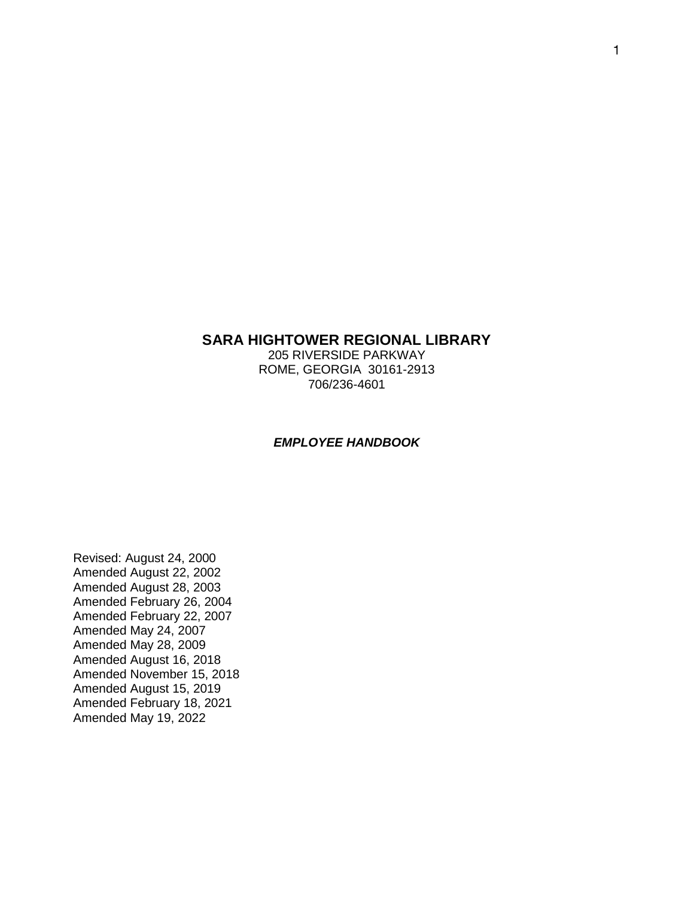# **SARA HIGHTOWER REGIONAL LIBRARY**

205 RIVERSIDE PARKWAY ROME, GEORGIA 30161-2913 706/236-4601

#### *EMPLOYEE HANDBOOK*

Revised: August 24, 2000 Amended August 22, 2002 Amended August 28, 2003 Amended February 26, 2004 Amended February 22, 2007 Amended May 24, 2007 Amended May 28, 2009 Amended August 16, 2018 Amended November 15, 2018 Amended August 15, 2019 Amended February 18, 2021 Amended May 19, 2022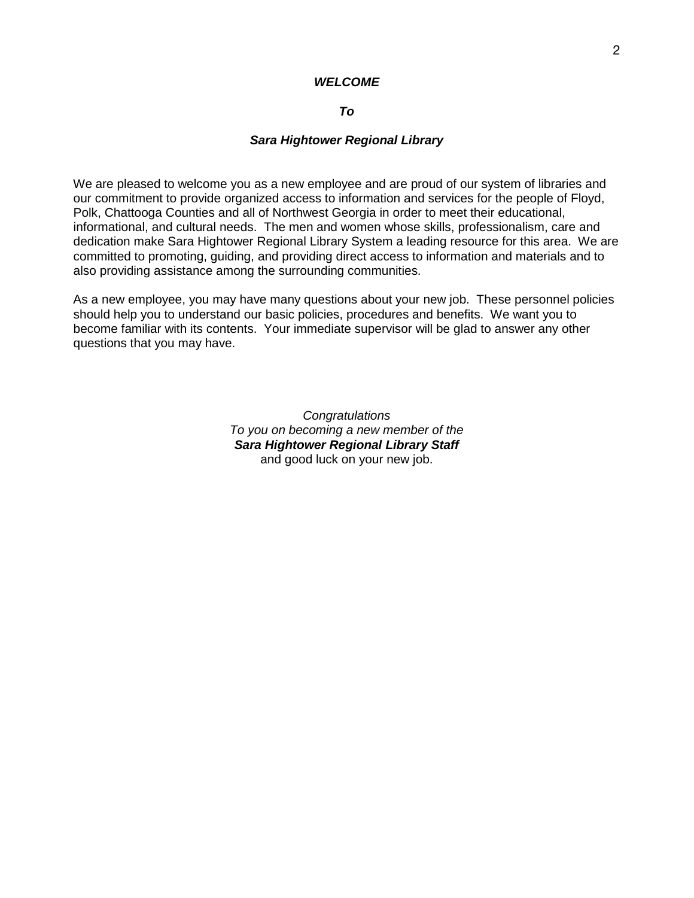### *WELCOME*

### *To*

#### *Sara Hightower Regional Library*

We are pleased to welcome you as a new employee and are proud of our system of libraries and our commitment to provide organized access to information and services for the people of Floyd, Polk, Chattooga Counties and all of Northwest Georgia in order to meet their educational, informational, and cultural needs. The men and women whose skills, professionalism, care and dedication make Sara Hightower Regional Library System a leading resource for this area. We are committed to promoting, guiding, and providing direct access to information and materials and to also providing assistance among the surrounding communities.

As a new employee, you may have many questions about your new job. These personnel policies should help you to understand our basic policies, procedures and benefits. We want you to become familiar with its contents. Your immediate supervisor will be glad to answer any other questions that you may have.

> *Congratulations To you on becoming a new member of the Sara Hightower Regional Library Staff*  and good luck on your new job.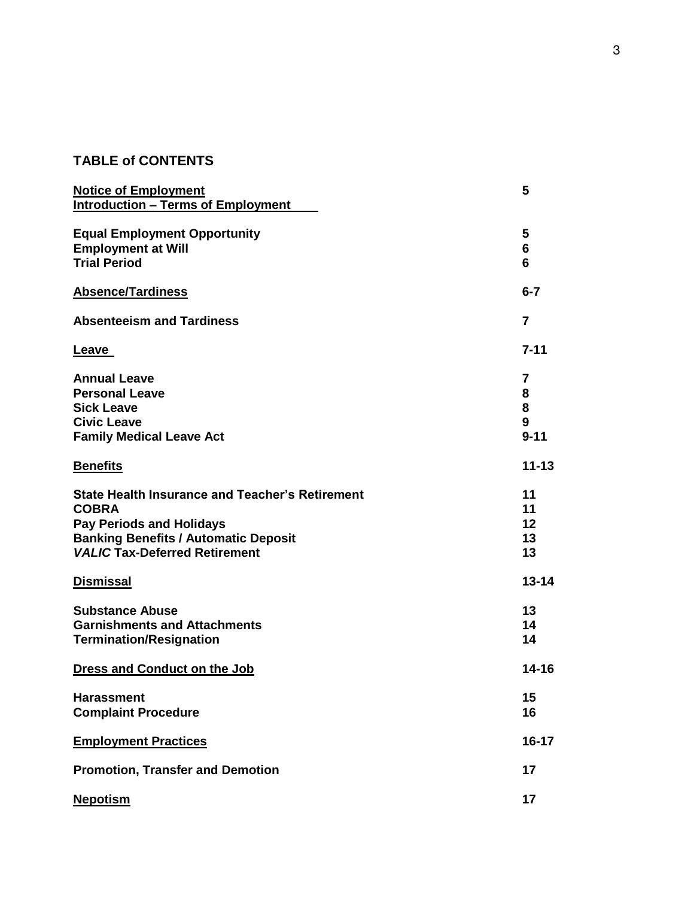# **TABLE of CONTENTS**

| <b>Notice of Employment</b><br><b>Introduction - Terms of Employment</b>                                                                                                                         | 5                               |
|--------------------------------------------------------------------------------------------------------------------------------------------------------------------------------------------------|---------------------------------|
| <b>Equal Employment Opportunity</b><br><b>Employment at Will</b><br><b>Trial Period</b>                                                                                                          | 5<br>6<br>6                     |
| <b>Absence/Tardiness</b>                                                                                                                                                                         | $6 - 7$                         |
| <b>Absenteeism and Tardiness</b>                                                                                                                                                                 | $\overline{\mathbf{r}}$         |
| <u>Leave</u>                                                                                                                                                                                     | $7 - 11$                        |
| <b>Annual Leave</b><br><b>Personal Leave</b><br><b>Sick Leave</b><br><b>Civic Leave</b><br><b>Family Medical Leave Act</b>                                                                       | 7<br>8<br>8<br>9<br>$9 - 11$    |
| <b>Benefits</b>                                                                                                                                                                                  | $11 - 13$                       |
| <b>State Health Insurance and Teacher's Retirement</b><br><b>COBRA</b><br><b>Pay Periods and Holidays</b><br><b>Banking Benefits / Automatic Deposit</b><br><b>VALIC Tax-Deferred Retirement</b> | 11<br>11<br>$12 \,$<br>13<br>13 |
| <b>Dismissal</b>                                                                                                                                                                                 | $13 - 14$                       |
| <b>Substance Abuse</b><br><b>Garnishments and Attachments</b><br><b>Termination/Resignation</b>                                                                                                  | 13<br>14<br>14                  |
| Dress and Conduct on the Job                                                                                                                                                                     | 14-16                           |
| <b>Harassment</b><br><b>Complaint Procedure</b>                                                                                                                                                  | 15<br>16                        |
| <b>Employment Practices</b>                                                                                                                                                                      | 16-17                           |
| <b>Promotion, Transfer and Demotion</b>                                                                                                                                                          | 17                              |
| <b>Nepotism</b>                                                                                                                                                                                  | 17                              |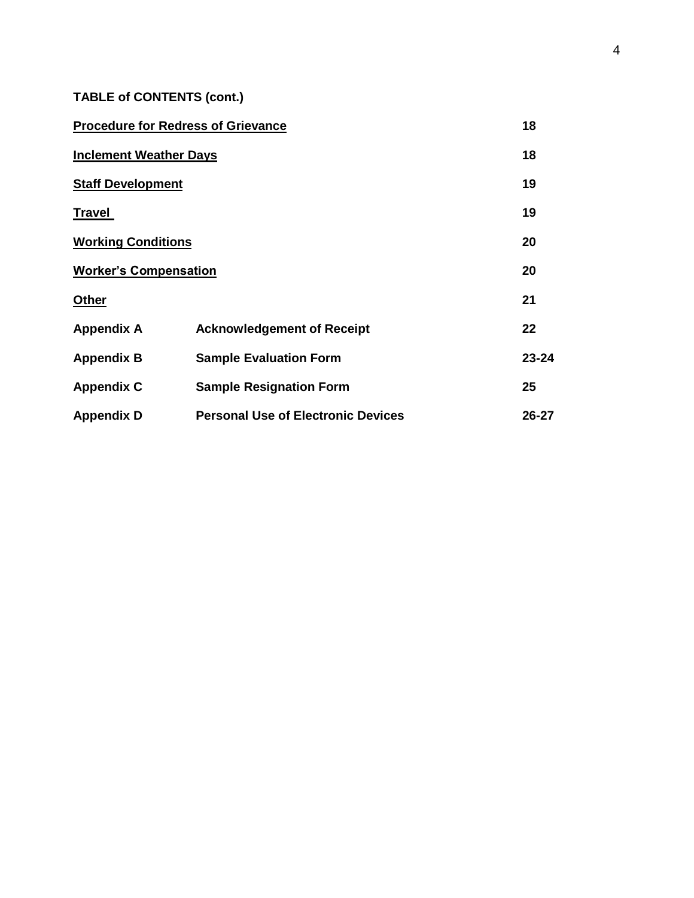**TABLE of CONTENTS (cont.)**

| <b>Procedure for Redress of Grievance</b> | 18                                        |       |  |
|-------------------------------------------|-------------------------------------------|-------|--|
| <b>Inclement Weather Days</b>             |                                           |       |  |
| <b>Staff Development</b>                  |                                           | 19    |  |
| <b>Travel</b>                             |                                           | 19    |  |
| <b>Working Conditions</b>                 | 20                                        |       |  |
| <b>Worker's Compensation</b>              |                                           |       |  |
| <b>Other</b>                              |                                           | 21    |  |
| <b>Appendix A</b>                         | <b>Acknowledgement of Receipt</b>         | 22    |  |
| <b>Appendix B</b>                         | <b>Sample Evaluation Form</b>             | 23-24 |  |
| <b>Appendix C</b>                         | <b>Sample Resignation Form</b>            | 25    |  |
| <b>Appendix D</b>                         | <b>Personal Use of Electronic Devices</b> | 26-27 |  |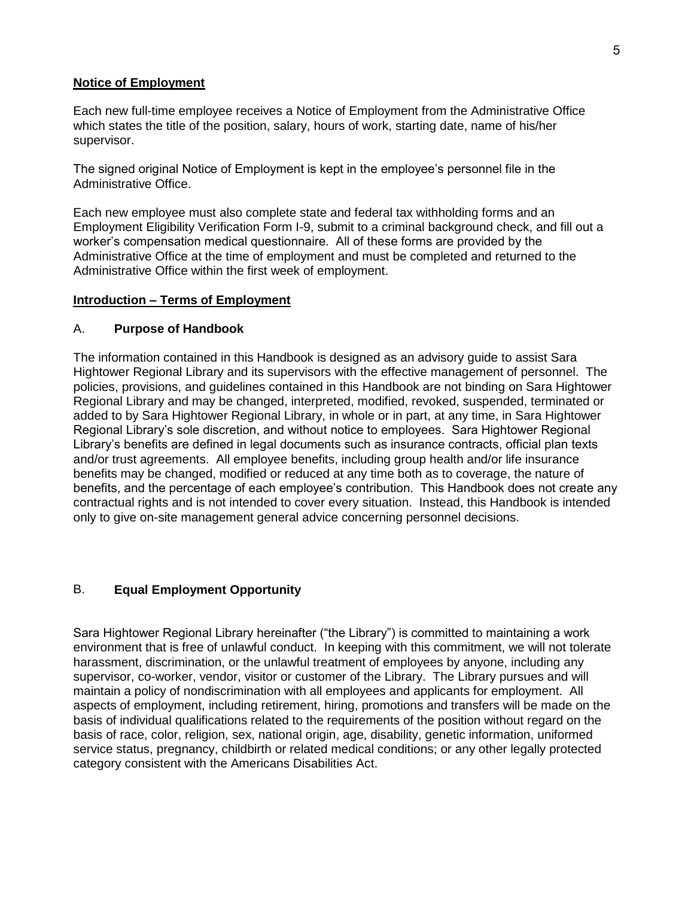#### **Notice of Employment**

Each new full-time employee receives a Notice of Employment from the Administrative Office which states the title of the position, salary, hours of work, starting date, name of his/her supervisor.

The signed original Notice of Employment is kept in the employee's personnel file in the Administrative Office.

Each new employee must also complete state and federal tax withholding forms and an Employment Eligibility Verification Form I-9, submit to a criminal background check, and fill out a worker's compensation medical questionnaire. All of these forms are provided by the Administrative Office at the time of employment and must be completed and returned to the Administrative Office within the first week of employment.

#### **Introduction – Terms of Employment**

### A. **Purpose of Handbook**

The information contained in this Handbook is designed as an advisory guide to assist Sara Hightower Regional Library and its supervisors with the effective management of personnel. The policies, provisions, and guidelines contained in this Handbook are not binding on Sara Hightower Regional Library and may be changed, interpreted, modified, revoked, suspended, terminated or added to by Sara Hightower Regional Library, in whole or in part, at any time, in Sara Hightower Regional Library's sole discretion, and without notice to employees. Sara Hightower Regional Library's benefits are defined in legal documents such as insurance contracts, official plan texts and/or trust agreements. All employee benefits, including group health and/or life insurance benefits may be changed, modified or reduced at any time both as to coverage, the nature of benefits, and the percentage of each employee's contribution. This Handbook does not create any contractual rights and is not intended to cover every situation. Instead, this Handbook is intended only to give on-site management general advice concerning personnel decisions.

# B. **Equal Employment Opportunity**

Sara Hightower Regional Library hereinafter ("the Library") is committed to maintaining a work environment that is free of unlawful conduct. In keeping with this commitment, we will not tolerate harassment, discrimination, or the unlawful treatment of employees by anyone, including any supervisor, co-worker, vendor, visitor or customer of the Library. The Library pursues and will maintain a policy of nondiscrimination with all employees and applicants for employment. All aspects of employment, including retirement, hiring, promotions and transfers will be made on the basis of individual qualifications related to the requirements of the position without regard on the basis of race, color, religion, sex, national origin, age, disability, genetic information, uniformed service status, pregnancy, childbirth or related medical conditions; or any other legally protected category consistent with the Americans Disabilities Act.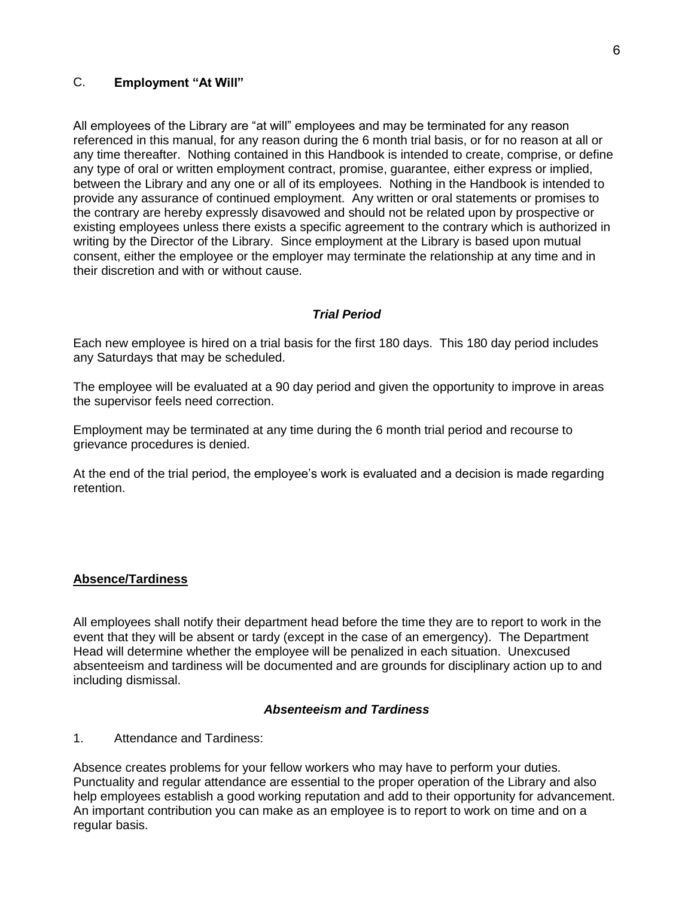# C. **Employment "At Will"**

All employees of the Library are "at will" employees and may be terminated for any reason referenced in this manual, for any reason during the 6 month trial basis, or for no reason at all or any time thereafter. Nothing contained in this Handbook is intended to create, comprise, or define any type of oral or written employment contract, promise, guarantee, either express or implied, between the Library and any one or all of its employees. Nothing in the Handbook is intended to provide any assurance of continued employment. Any written or oral statements or promises to the contrary are hereby expressly disavowed and should not be related upon by prospective or existing employees unless there exists a specific agreement to the contrary which is authorized in writing by the Director of the Library. Since employment at the Library is based upon mutual consent, either the employee or the employer may terminate the relationship at any time and in their discretion and with or without cause.

### *Trial Period*

Each new employee is hired on a trial basis for the first 180 days. This 180 day period includes any Saturdays that may be scheduled.

The employee will be evaluated at a 90 day period and given the opportunity to improve in areas the supervisor feels need correction.

Employment may be terminated at any time during the 6 month trial period and recourse to grievance procedures is denied.

At the end of the trial period, the employee's work is evaluated and a decision is made regarding retention.

# **Absence/Tardiness**

All employees shall notify their department head before the time they are to report to work in the event that they will be absent or tardy (except in the case of an emergency). The Department Head will determine whether the employee will be penalized in each situation. Unexcused absenteeism and tardiness will be documented and are grounds for disciplinary action up to and including dismissal.

### *Absenteeism and Tardiness*

1. Attendance and Tardiness:

Absence creates problems for your fellow workers who may have to perform your duties. Punctuality and regular attendance are essential to the proper operation of the Library and also help employees establish a good working reputation and add to their opportunity for advancement. An important contribution you can make as an employee is to report to work on time and on a regular basis.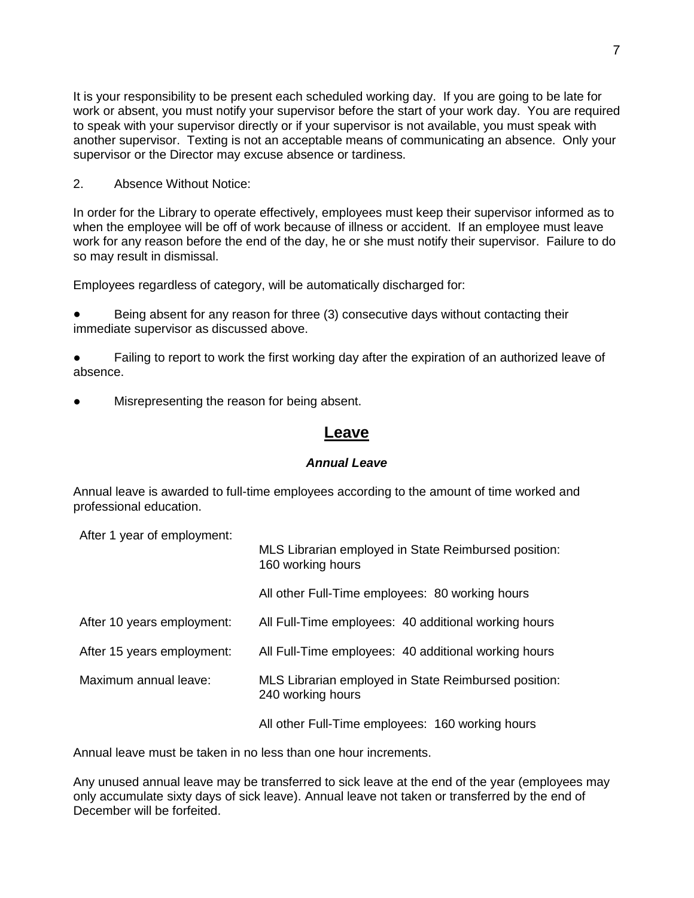It is your responsibility to be present each scheduled working day. If you are going to be late for work or absent, you must notify your supervisor before the start of your work day. You are required to speak with your supervisor directly or if your supervisor is not available, you must speak with another supervisor. Texting is not an acceptable means of communicating an absence. Only your supervisor or the Director may excuse absence or tardiness.

2. Absence Without Notice:

In order for the Library to operate effectively, employees must keep their supervisor informed as to when the employee will be off of work because of illness or accident. If an employee must leave work for any reason before the end of the day, he or she must notify their supervisor. Failure to do so may result in dismissal.

Employees regardless of category, will be automatically discharged for:

Being absent for any reason for three (3) consecutive days without contacting their immediate supervisor as discussed above.

• Failing to report to work the first working day after the expiration of an authorized leave of absence.

Misrepresenting the reason for being absent.

# **Leave**

### *Annual Leave*

Annual leave is awarded to full-time employees according to the amount of time worked and professional education.

After 1 year of employment:

|                            | MLS Librarian employed in State Reimbursed position:<br>160 working hours |
|----------------------------|---------------------------------------------------------------------------|
|                            | All other Full-Time employees: 80 working hours                           |
| After 10 years employment: | All Full-Time employees: 40 additional working hours                      |
| After 15 years employment: | All Full-Time employees: 40 additional working hours                      |
| Maximum annual leave:      | MLS Librarian employed in State Reimbursed position:<br>240 working hours |
|                            | All other Full-Time employees: 160 working hours                          |

Annual leave must be taken in no less than one hour increments.

Any unused annual leave may be transferred to sick leave at the end of the year (employees may only accumulate sixty days of sick leave). Annual leave not taken or transferred by the end of December will be forfeited.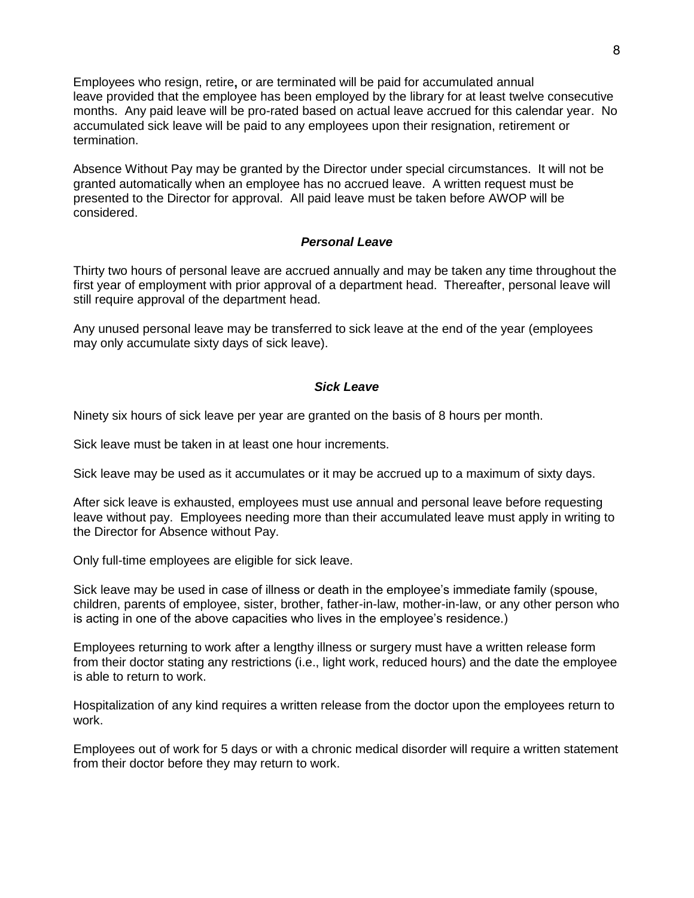Employees who resign, retire**,** or are terminated will be paid for accumulated annual leave provided that the employee has been employed by the library for at least twelve consecutive months. Any paid leave will be pro-rated based on actual leave accrued for this calendar year. No accumulated sick leave will be paid to any employees upon their resignation, retirement or termination.

Absence Without Pay may be granted by the Director under special circumstances. It will not be granted automatically when an employee has no accrued leave. A written request must be presented to the Director for approval. All paid leave must be taken before AWOP will be considered.

### *Personal Leave*

Thirty two hours of personal leave are accrued annually and may be taken any time throughout the first year of employment with prior approval of a department head. Thereafter, personal leave will still require approval of the department head.

Any unused personal leave may be transferred to sick leave at the end of the year (employees may only accumulate sixty days of sick leave).

#### *Sick Leave*

Ninety six hours of sick leave per year are granted on the basis of 8 hours per month.

Sick leave must be taken in at least one hour increments.

Sick leave may be used as it accumulates or it may be accrued up to a maximum of sixty days.

After sick leave is exhausted, employees must use annual and personal leave before requesting leave without pay. Employees needing more than their accumulated leave must apply in writing to the Director for Absence without Pay.

Only full-time employees are eligible for sick leave.

Sick leave may be used in case of illness or death in the employee's immediate family (spouse, children, parents of employee, sister, brother, father-in-law, mother-in-law, or any other person who is acting in one of the above capacities who lives in the employee's residence.)

Employees returning to work after a lengthy illness or surgery must have a written release form from their doctor stating any restrictions (i.e., light work, reduced hours) and the date the employee is able to return to work.

Hospitalization of any kind requires a written release from the doctor upon the employees return to work.

Employees out of work for 5 days or with a chronic medical disorder will require a written statement from their doctor before they may return to work.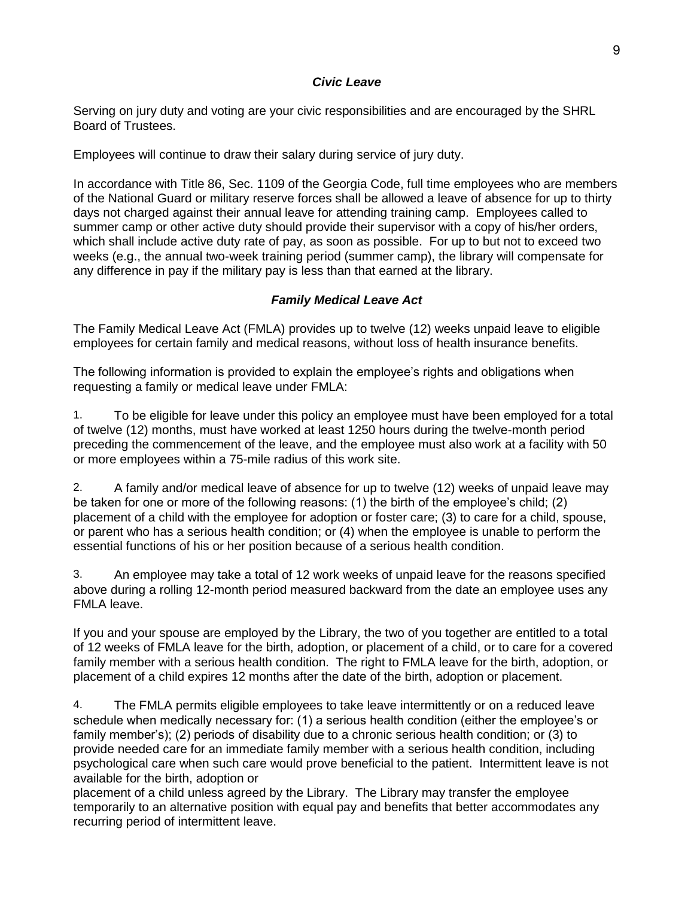# *Civic Leave*

Serving on jury duty and voting are your civic responsibilities and are encouraged by the SHRL Board of Trustees.

Employees will continue to draw their salary during service of jury duty.

In accordance with Title 86, Sec. 1109 of the Georgia Code, full time employees who are members of the National Guard or military reserve forces shall be allowed a leave of absence for up to thirty days not charged against their annual leave for attending training camp. Employees called to summer camp or other active duty should provide their supervisor with a copy of his/her orders, which shall include active duty rate of pay, as soon as possible. For up to but not to exceed two weeks (e.g., the annual two-week training period (summer camp), the library will compensate for any difference in pay if the military pay is less than that earned at the library.

# *Family Medical Leave Act*

The Family Medical Leave Act (FMLA) provides up to twelve (12) weeks unpaid leave to eligible employees for certain family and medical reasons, without loss of health insurance benefits.

The following information is provided to explain the employee's rights and obligations when requesting a family or medical leave under FMLA:

1. To be eligible for leave under this policy an employee must have been employed for a total of twelve (12) months, must have worked at least 1250 hours during the twelve-month period preceding the commencement of the leave, and the employee must also work at a facility with 50 or more employees within a 75-mile radius of this work site.

2. A family and/or medical leave of absence for up to twelve (12) weeks of unpaid leave may be taken for one or more of the following reasons: (1) the birth of the employee's child; (2) placement of a child with the employee for adoption or foster care; (3) to care for a child, spouse, or parent who has a serious health condition; or (4) when the employee is unable to perform the essential functions of his or her position because of a serious health condition.

3. An employee may take a total of 12 work weeks of unpaid leave for the reasons specified above during a rolling 12-month period measured backward from the date an employee uses any FMLA leave.

If you and your spouse are employed by the Library, the two of you together are entitled to a total of 12 weeks of FMLA leave for the birth, adoption, or placement of a child, or to care for a covered family member with a serious health condition. The right to FMLA leave for the birth, adoption, or placement of a child expires 12 months after the date of the birth, adoption or placement.

4. The FMLA permits eligible employees to take leave intermittently or on a reduced leave schedule when medically necessary for: (1) a serious health condition (either the employee's or family member's); (2) periods of disability due to a chronic serious health condition; or (3) to provide needed care for an immediate family member with a serious health condition, including psychological care when such care would prove beneficial to the patient. Intermittent leave is not available for the birth, adoption or

placement of a child unless agreed by the Library. The Library may transfer the employee temporarily to an alternative position with equal pay and benefits that better accommodates any recurring period of intermittent leave.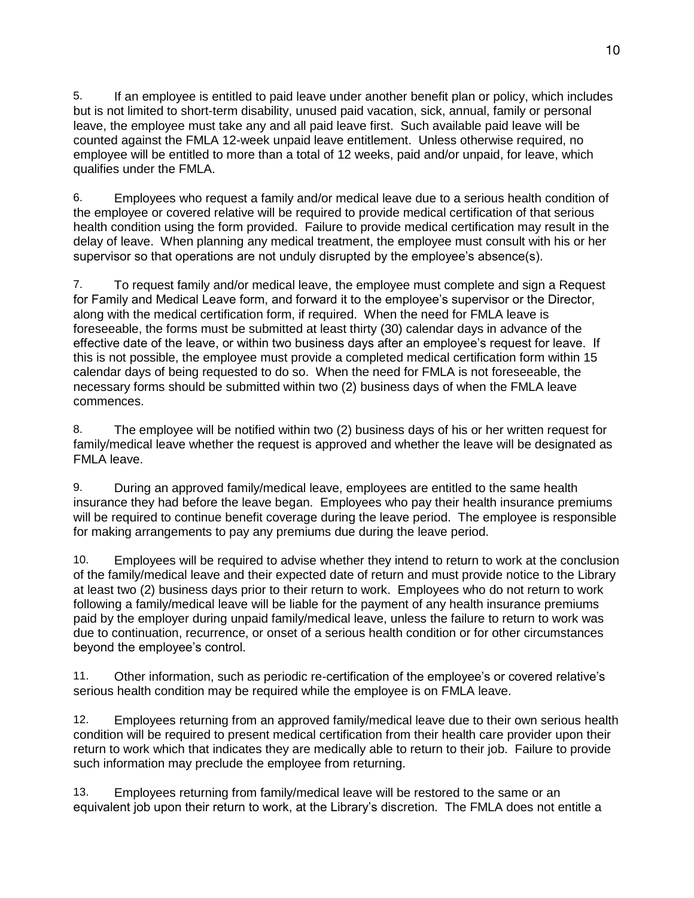5. If an employee is entitled to paid leave under another benefit plan or policy, which includes but is not limited to short-term disability, unused paid vacation, sick, annual, family or personal leave, the employee must take any and all paid leave first. Such available paid leave will be counted against the FMLA 12-week unpaid leave entitlement. Unless otherwise required, no employee will be entitled to more than a total of 12 weeks, paid and/or unpaid, for leave, which qualifies under the FMLA.

6. Employees who request a family and/or medical leave due to a serious health condition of the employee or covered relative will be required to provide medical certification of that serious health condition using the form provided. Failure to provide medical certification may result in the delay of leave. When planning any medical treatment, the employee must consult with his or her supervisor so that operations are not unduly disrupted by the employee's absence(s).

7. To request family and/or medical leave, the employee must complete and sign a Request for Family and Medical Leave form, and forward it to the employee's supervisor or the Director, along with the medical certification form, if required. When the need for FMLA leave is foreseeable, the forms must be submitted at least thirty (30) calendar days in advance of the effective date of the leave, or within two business days after an employee's request for leave. If this is not possible, the employee must provide a completed medical certification form within 15 calendar days of being requested to do so. When the need for FMLA is not foreseeable, the necessary forms should be submitted within two (2) business days of when the FMLA leave commences.

8. The employee will be notified within two (2) business days of his or her written request for family/medical leave whether the request is approved and whether the leave will be designated as FMLA leave.

9. During an approved family/medical leave, employees are entitled to the same health insurance they had before the leave began. Employees who pay their health insurance premiums will be required to continue benefit coverage during the leave period. The employee is responsible for making arrangements to pay any premiums due during the leave period.

10. Employees will be required to advise whether they intend to return to work at the conclusion of the family/medical leave and their expected date of return and must provide notice to the Library at least two (2) business days prior to their return to work. Employees who do not return to work following a family/medical leave will be liable for the payment of any health insurance premiums paid by the employer during unpaid family/medical leave, unless the failure to return to work was due to continuation, recurrence, or onset of a serious health condition or for other circumstances beyond the employee's control.

11. Other information, such as periodic re-certification of the employee's or covered relative's serious health condition may be required while the employee is on FMLA leave.

12. Employees returning from an approved family/medical leave due to their own serious health condition will be required to present medical certification from their health care provider upon their return to work which that indicates they are medically able to return to their job. Failure to provide such information may preclude the employee from returning.

13. Employees returning from family/medical leave will be restored to the same or an equivalent job upon their return to work, at the Library's discretion. The FMLA does not entitle a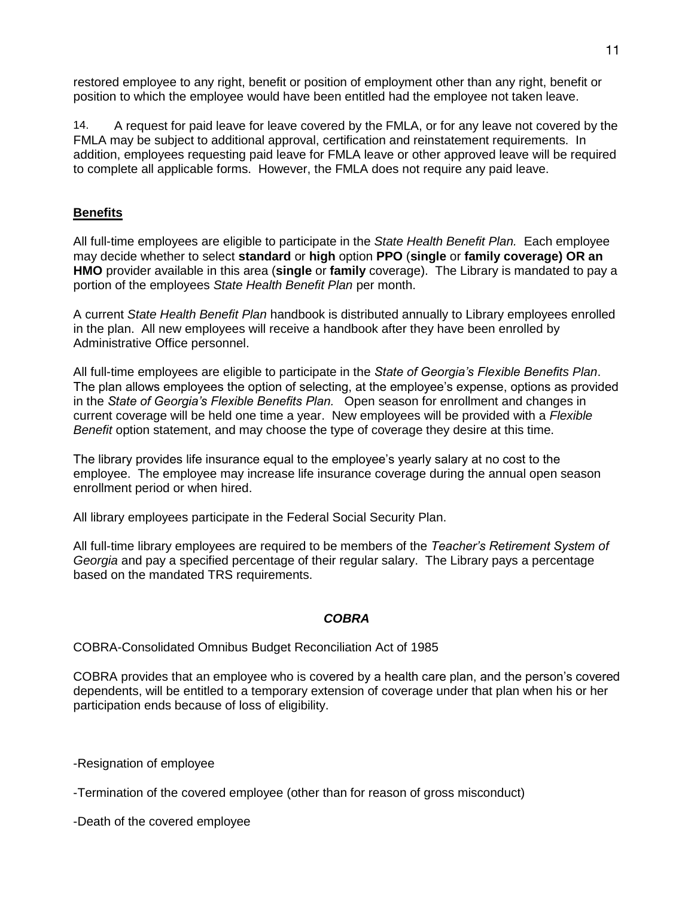restored employee to any right, benefit or position of employment other than any right, benefit or position to which the employee would have been entitled had the employee not taken leave.

14. A request for paid leave for leave covered by the FMLA, or for any leave not covered by the FMLA may be subject to additional approval, certification and reinstatement requirements. In addition, employees requesting paid leave for FMLA leave or other approved leave will be required to complete all applicable forms. However, the FMLA does not require any paid leave.

# **Benefits**

All full-time employees are eligible to participate in the *State Health Benefit Plan.* Each employee may decide whether to select **standard** or **high** option **PPO** (**single** or **family coverage) OR an HMO** provider available in this area (**single** or **family** coverage). The Library is mandated to pay a portion of the employees *State Health Benefit Plan* per month.

A current *State Health Benefit Plan* handbook is distributed annually to Library employees enrolled in the plan. All new employees will receive a handbook after they have been enrolled by Administrative Office personnel.

All full-time employees are eligible to participate in the *State of Georgia's Flexible Benefits Plan*. The plan allows employees the option of selecting, at the employee's expense, options as provided in the *State of Georgia's Flexible Benefits Plan.* Open season for enrollment and changes in current coverage will be held one time a year. New employees will be provided with a *Flexible Benefit* option statement, and may choose the type of coverage they desire at this time.

The library provides life insurance equal to the employee's yearly salary at no cost to the employee. The employee may increase life insurance coverage during the annual open season enrollment period or when hired.

All library employees participate in the Federal Social Security Plan.

All full-time library employees are required to be members of the *Teacher's Retirement System of Georgia* and pay a specified percentage of their regular salary. The Library pays a percentage based on the mandated TRS requirements.

# *COBRA*

COBRA-Consolidated Omnibus Budget Reconciliation Act of 1985

COBRA provides that an employee who is covered by a health care plan, and the person's covered dependents, will be entitled to a temporary extension of coverage under that plan when his or her participation ends because of loss of eligibility.

-Resignation of employee

-Termination of the covered employee (other than for reason of gross misconduct)

-Death of the covered employee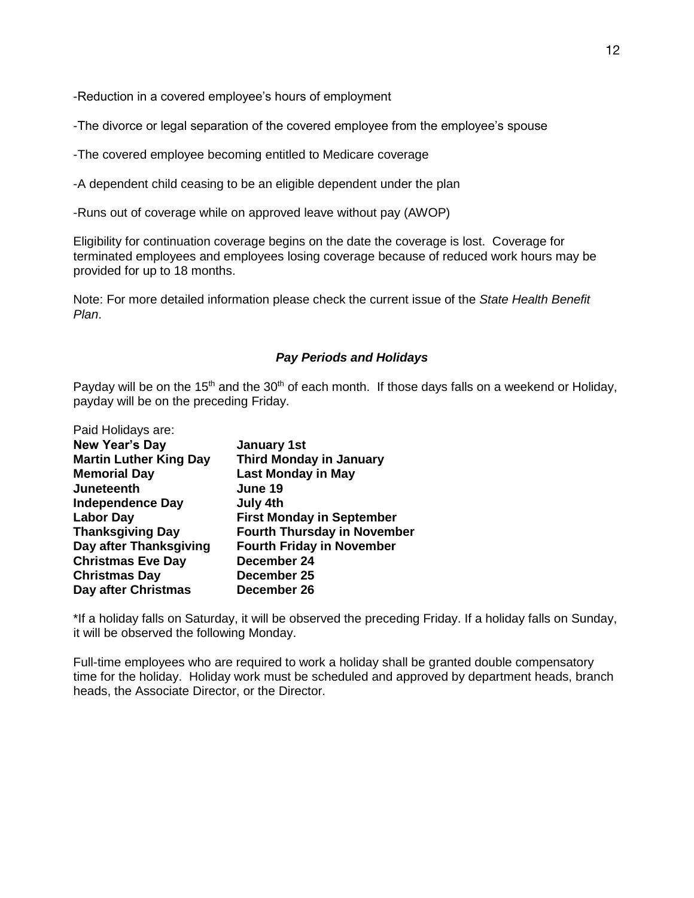-Reduction in a covered employee's hours of employment

-The divorce or legal separation of the covered employee from the employee's spouse

-The covered employee becoming entitled to Medicare coverage

-A dependent child ceasing to be an eligible dependent under the plan

-Runs out of coverage while on approved leave without pay (AWOP)

Eligibility for continuation coverage begins on the date the coverage is lost. Coverage for terminated employees and employees losing coverage because of reduced work hours may be provided for up to 18 months.

Note: For more detailed information please check the current issue of the *State Health Benefit Plan*.

### *Pay Periods and Holidays*

Payday will be on the 15<sup>th</sup> and the 30<sup>th</sup> of each month. If those days falls on a weekend or Holiday, payday will be on the preceding Friday.

| Paid Holidays are:            |                                    |
|-------------------------------|------------------------------------|
| <b>New Year's Day</b>         | <b>January 1st</b>                 |
| <b>Martin Luther King Day</b> | <b>Third Monday in January</b>     |
| <b>Memorial Day</b>           | <b>Last Monday in May</b>          |
| <b>Juneteenth</b>             | June 19                            |
| <b>Independence Day</b>       | July 4th                           |
| <b>Labor Day</b>              | <b>First Monday in September</b>   |
| <b>Thanksgiving Day</b>       | <b>Fourth Thursday in November</b> |
| Day after Thanksgiving        | <b>Fourth Friday in November</b>   |
| <b>Christmas Eve Day</b>      | December 24                        |
| <b>Christmas Day</b>          | December 25                        |
| Day after Christmas           | December 26                        |

\*If a holiday falls on Saturday, it will be observed the preceding Friday. If a holiday falls on Sunday, it will be observed the following Monday.

Full-time employees who are required to work a holiday shall be granted double compensatory time for the holiday. Holiday work must be scheduled and approved by department heads, branch heads, the Associate Director, or the Director.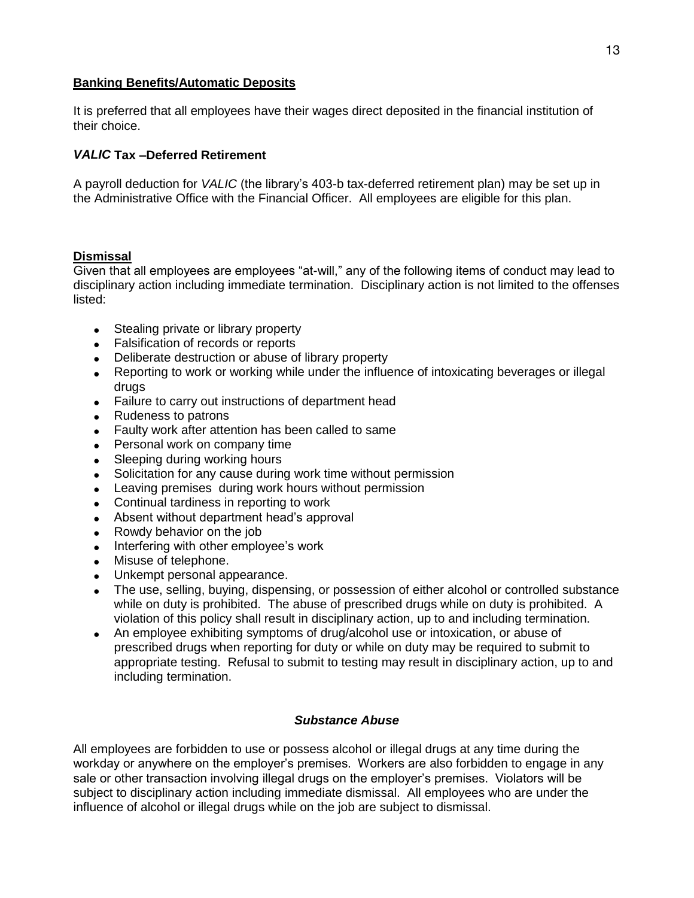### **Banking Benefits/Automatic Deposits**

It is preferred that all employees have their wages direct deposited in the financial institution of their choice.

### *VALIC* **Tax –Deferred Retirement**

A payroll deduction for *VALIC* (the library's 403-b tax-deferred retirement plan) may be set up in the Administrative Office with the Financial Officer. All employees are eligible for this plan.

### **Dismissal**

Given that all employees are employees "at-will," any of the following items of conduct may lead to disciplinary action including immediate termination. Disciplinary action is not limited to the offenses listed:

- Stealing private or library property
- Falsification of records or reports
- Deliberate destruction or abuse of library property
- Reporting to work or working while under the influence of intoxicating beverages or illegal drugs
- Failure to carry out instructions of department head
- Rudeness to patrons
- Faulty work after attention has been called to same
- Personal work on company time
- Sleeping during working hours
- Solicitation for any cause during work time without permission
- Leaving premises during work hours without permission
- Continual tardiness in reporting to work
- Absent without department head's approval
- Rowdy behavior on the job
- Interfering with other employee's work
- Misuse of telephone.
- Unkempt personal appearance.
- The use, selling, buying, dispensing, or possession of either alcohol or controlled substance while on duty is prohibited. The abuse of prescribed drugs while on duty is prohibited. A violation of this policy shall result in disciplinary action, up to and including termination.
- An employee exhibiting symptoms of drug/alcohol use or intoxication, or abuse of prescribed drugs when reporting for duty or while on duty may be required to submit to appropriate testing. Refusal to submit to testing may result in disciplinary action, up to and including termination.

### *Substance Abuse*

All employees are forbidden to use or possess alcohol or illegal drugs at any time during the workday or anywhere on the employer's premises. Workers are also forbidden to engage in any sale or other transaction involving illegal drugs on the employer's premises. Violators will be subject to disciplinary action including immediate dismissal. All employees who are under the influence of alcohol or illegal drugs while on the job are subject to dismissal.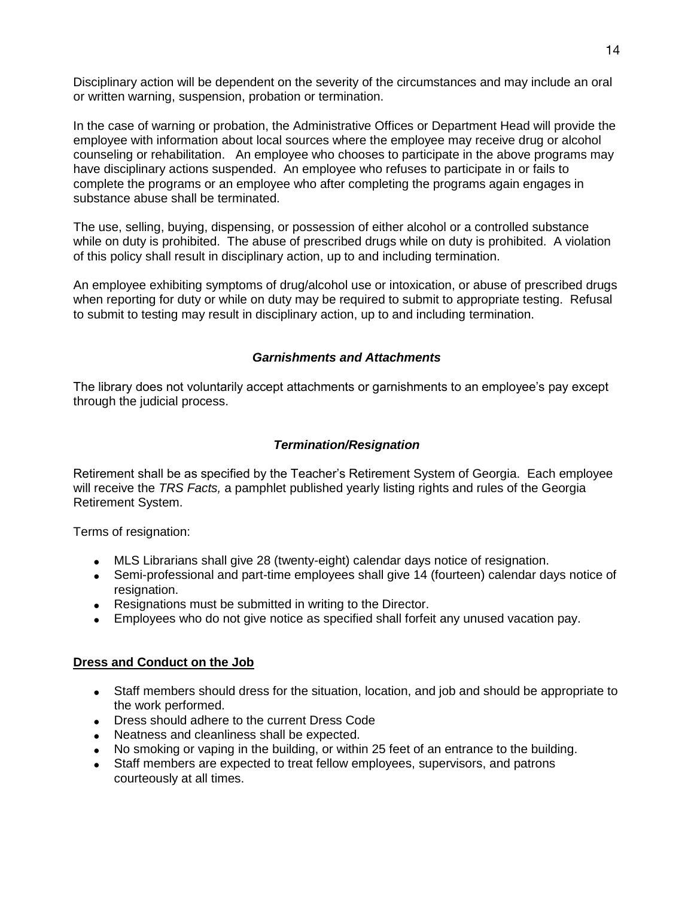Disciplinary action will be dependent on the severity of the circumstances and may include an oral or written warning, suspension, probation or termination.

In the case of warning or probation, the Administrative Offices or Department Head will provide the employee with information about local sources where the employee may receive drug or alcohol counseling or rehabilitation. An employee who chooses to participate in the above programs may have disciplinary actions suspended. An employee who refuses to participate in or fails to complete the programs or an employee who after completing the programs again engages in substance abuse shall be terminated.

The use, selling, buying, dispensing, or possession of either alcohol or a controlled substance while on duty is prohibited. The abuse of prescribed drugs while on duty is prohibited. A violation of this policy shall result in disciplinary action, up to and including termination.

An employee exhibiting symptoms of drug/alcohol use or intoxication, or abuse of prescribed drugs when reporting for duty or while on duty may be required to submit to appropriate testing. Refusal to submit to testing may result in disciplinary action, up to and including termination.

# *Garnishments and Attachments*

The library does not voluntarily accept attachments or garnishments to an employee's pay except through the judicial process.

### *Termination/Resignation*

Retirement shall be as specified by the Teacher's Retirement System of Georgia. Each employee will receive the *TRS Facts,* a pamphlet published yearly listing rights and rules of the Georgia Retirement System.

Terms of resignation:

- MLS Librarians shall give 28 (twenty-eight) calendar days notice of resignation.
- Semi-professional and part-time employees shall give 14 (fourteen) calendar days notice of resignation.
- Resignations must be submitted in writing to the Director.
- Employees who do not give notice as specified shall forfeit any unused vacation pay.

# **Dress and Conduct on the Job**

- Staff members should dress for the situation, location, and job and should be appropriate to the work performed.
- Dress should adhere to the current Dress Code
- Neatness and cleanliness shall be expected.
- No smoking or vaping in the building, or within 25 feet of an entrance to the building.
- Staff members are expected to treat fellow employees, supervisors, and patrons courteously at all times.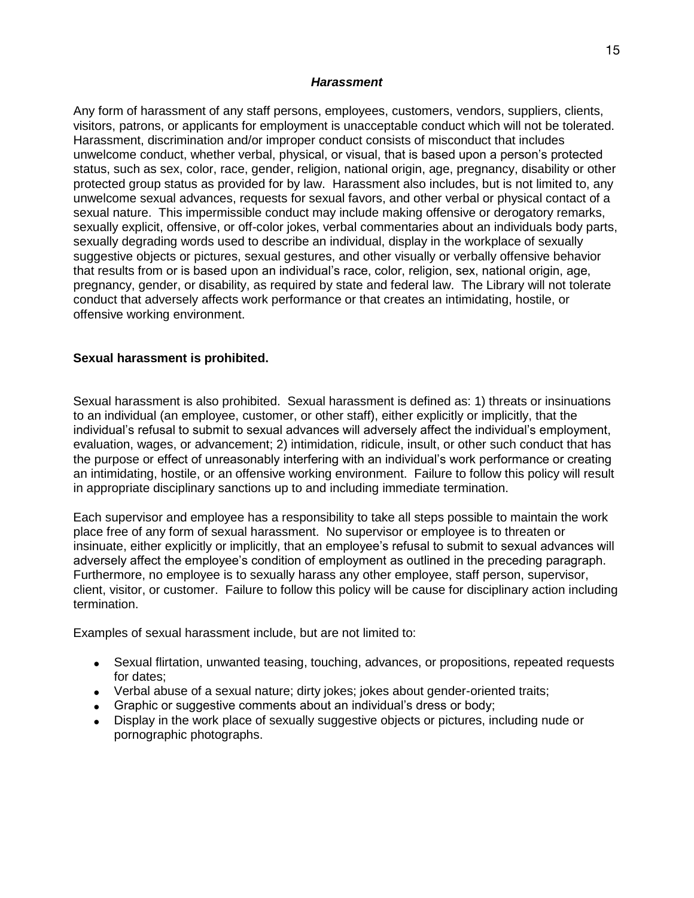#### *Harassment*

Any form of harassment of any staff persons, employees, customers, vendors, suppliers, clients, visitors, patrons, or applicants for employment is unacceptable conduct which will not be tolerated. Harassment, discrimination and/or improper conduct consists of misconduct that includes unwelcome conduct, whether verbal, physical, or visual, that is based upon a person's protected status, such as sex, color, race, gender, religion, national origin, age, pregnancy, disability or other protected group status as provided for by law. Harassment also includes, but is not limited to, any unwelcome sexual advances, requests for sexual favors, and other verbal or physical contact of a sexual nature. This impermissible conduct may include making offensive or derogatory remarks, sexually explicit, offensive, or off-color jokes, verbal commentaries about an individuals body parts, sexually degrading words used to describe an individual, display in the workplace of sexually suggestive objects or pictures, sexual gestures, and other visually or verbally offensive behavior that results from or is based upon an individual's race, color, religion, sex, national origin, age, pregnancy, gender, or disability, as required by state and federal law. The Library will not tolerate conduct that adversely affects work performance or that creates an intimidating, hostile, or offensive working environment.

### **Sexual harassment is prohibited.**

Sexual harassment is also prohibited. Sexual harassment is defined as: 1) threats or insinuations to an individual (an employee, customer, or other staff), either explicitly or implicitly, that the individual's refusal to submit to sexual advances will adversely affect the individual's employment, evaluation, wages, or advancement; 2) intimidation, ridicule, insult, or other such conduct that has the purpose or effect of unreasonably interfering with an individual's work performance or creating an intimidating, hostile, or an offensive working environment. Failure to follow this policy will result in appropriate disciplinary sanctions up to and including immediate termination.

Each supervisor and employee has a responsibility to take all steps possible to maintain the work place free of any form of sexual harassment. No supervisor or employee is to threaten or insinuate, either explicitly or implicitly, that an employee's refusal to submit to sexual advances will adversely affect the employee's condition of employment as outlined in the preceding paragraph. Furthermore, no employee is to sexually harass any other employee, staff person, supervisor, client, visitor, or customer. Failure to follow this policy will be cause for disciplinary action including termination.

Examples of sexual harassment include, but are not limited to:

- Sexual flirtation, unwanted teasing, touching, advances, or propositions, repeated requests for dates;
- Verbal abuse of a sexual nature; dirty jokes; jokes about gender-oriented traits;
- Graphic or suggestive comments about an individual's dress or body;
- Display in the work place of sexually suggestive objects or pictures, including nude or pornographic photographs.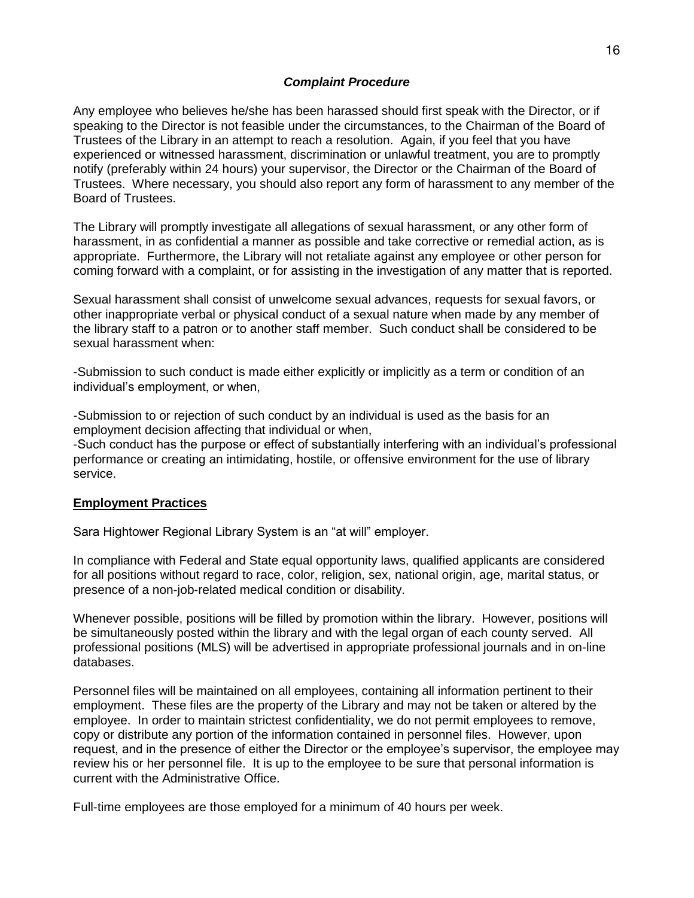### *Complaint Procedure*

Any employee who believes he/she has been harassed should first speak with the Director, or if speaking to the Director is not feasible under the circumstances, to the Chairman of the Board of Trustees of the Library in an attempt to reach a resolution. Again, if you feel that you have experienced or witnessed harassment, discrimination or unlawful treatment, you are to promptly notify (preferably within 24 hours) your supervisor, the Director or the Chairman of the Board of Trustees. Where necessary, you should also report any form of harassment to any member of the Board of Trustees.

The Library will promptly investigate all allegations of sexual harassment, or any other form of harassment, in as confidential a manner as possible and take corrective or remedial action, as is appropriate. Furthermore, the Library will not retaliate against any employee or other person for coming forward with a complaint, or for assisting in the investigation of any matter that is reported.

Sexual harassment shall consist of unwelcome sexual advances, requests for sexual favors, or other inappropriate verbal or physical conduct of a sexual nature when made by any member of the library staff to a patron or to another staff member. Such conduct shall be considered to be sexual harassment when:

-Submission to such conduct is made either explicitly or implicitly as a term or condition of an individual's employment, or when,

-Submission to or rejection of such conduct by an individual is used as the basis for an employment decision affecting that individual or when, -Such conduct has the purpose or effect of substantially interfering with an individual's professional performance or creating an intimidating, hostile, or offensive environment for the use of library service.

### **Employment Practices**

Sara Hightower Regional Library System is an "at will" employer.

In compliance with Federal and State equal opportunity laws, qualified applicants are considered for all positions without regard to race, color, religion, sex, national origin, age, marital status, or presence of a non-job-related medical condition or disability.

Whenever possible, positions will be filled by promotion within the library. However, positions will be simultaneously posted within the library and with the legal organ of each county served. All professional positions (MLS) will be advertised in appropriate professional journals and in on-line databases.

Personnel files will be maintained on all employees, containing all information pertinent to their employment. These files are the property of the Library and may not be taken or altered by the employee. In order to maintain strictest confidentiality, we do not permit employees to remove, copy or distribute any portion of the information contained in personnel files. However, upon request, and in the presence of either the Director or the employee's supervisor, the employee may review his or her personnel file. It is up to the employee to be sure that personal information is current with the Administrative Office.

Full-time employees are those employed for a minimum of 40 hours per week.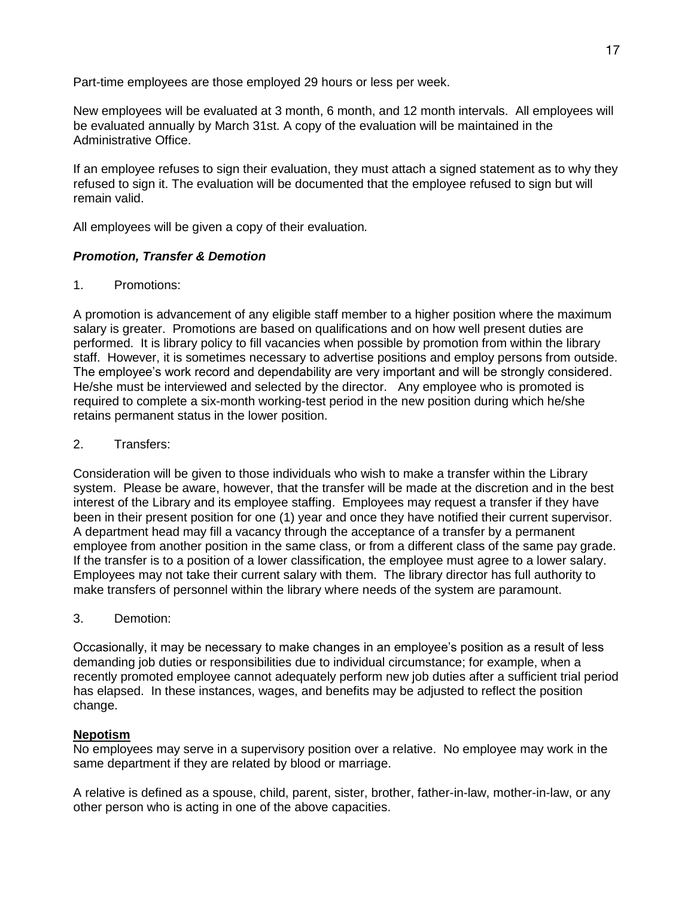Part-time employees are those employed 29 hours or less per week.

New employees will be evaluated at 3 month, 6 month, and 12 month intervals. All employees will be evaluated annually by March 31st. A copy of the evaluation will be maintained in the Administrative Office.

If an employee refuses to sign their evaluation, they must attach a signed statement as to why they refused to sign it. The evaluation will be documented that the employee refused to sign but will remain valid.

All employees will be given a copy of their evaluation*.*

# *Promotion, Transfer & Demotion*

1. Promotions:

A promotion is advancement of any eligible staff member to a higher position where the maximum salary is greater. Promotions are based on qualifications and on how well present duties are performed. It is library policy to fill vacancies when possible by promotion from within the library staff. However, it is sometimes necessary to advertise positions and employ persons from outside. The employee's work record and dependability are very important and will be strongly considered. He/she must be interviewed and selected by the director. Any employee who is promoted is required to complete a six-month working-test period in the new position during which he/she retains permanent status in the lower position.

### 2. Transfers:

Consideration will be given to those individuals who wish to make a transfer within the Library system. Please be aware, however, that the transfer will be made at the discretion and in the best interest of the Library and its employee staffing. Employees may request a transfer if they have been in their present position for one (1) year and once they have notified their current supervisor. A department head may fill a vacancy through the acceptance of a transfer by a permanent employee from another position in the same class, or from a different class of the same pay grade. If the transfer is to a position of a lower classification, the employee must agree to a lower salary. Employees may not take their current salary with them. The library director has full authority to make transfers of personnel within the library where needs of the system are paramount.

3. Demotion:

Occasionally, it may be necessary to make changes in an employee's position as a result of less demanding job duties or responsibilities due to individual circumstance; for example, when a recently promoted employee cannot adequately perform new job duties after a sufficient trial period has elapsed. In these instances, wages, and benefits may be adjusted to reflect the position change.

### **Nepotism**

No employees may serve in a supervisory position over a relative. No employee may work in the same department if they are related by blood or marriage.

A relative is defined as a spouse, child, parent, sister, brother, father-in-law, mother-in-law, or any other person who is acting in one of the above capacities.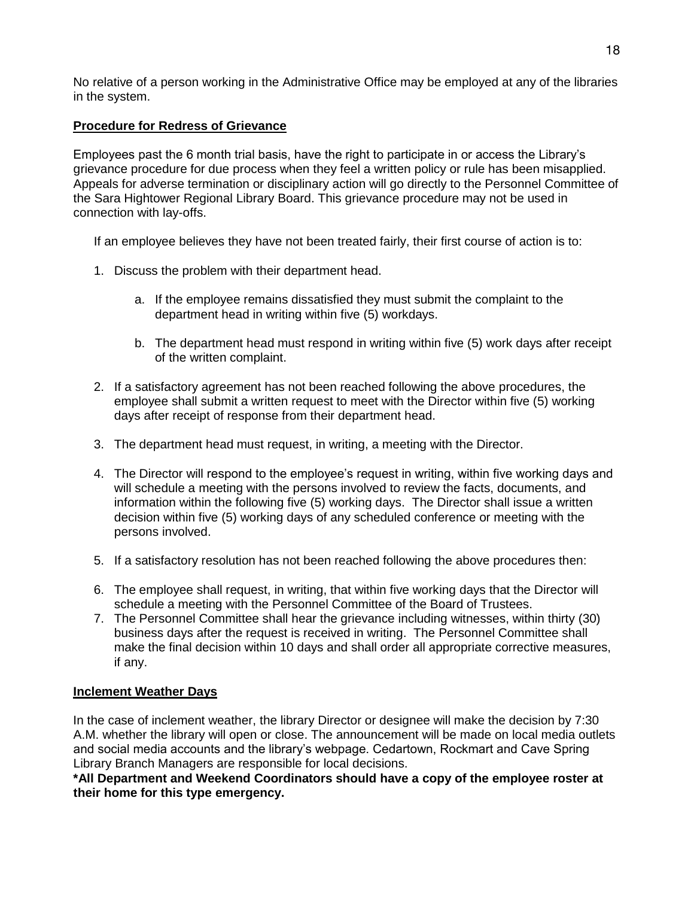No relative of a person working in the Administrative Office may be employed at any of the libraries in the system.

# **Procedure for Redress of Grievance**

Employees past the 6 month trial basis, have the right to participate in or access the Library's grievance procedure for due process when they feel a written policy or rule has been misapplied. Appeals for adverse termination or disciplinary action will go directly to the Personnel Committee of the Sara Hightower Regional Library Board. This grievance procedure may not be used in connection with lay-offs.

If an employee believes they have not been treated fairly, their first course of action is to:

- 1. Discuss the problem with their department head.
	- a. If the employee remains dissatisfied they must submit the complaint to the department head in writing within five (5) workdays.
	- b. The department head must respond in writing within five (5) work days after receipt of the written complaint.
- 2. If a satisfactory agreement has not been reached following the above procedures, the employee shall submit a written request to meet with the Director within five (5) working days after receipt of response from their department head.
- 3. The department head must request, in writing, a meeting with the Director.
- 4. The Director will respond to the employee's request in writing, within five working days and will schedule a meeting with the persons involved to review the facts, documents, and information within the following five (5) working days. The Director shall issue a written decision within five (5) working days of any scheduled conference or meeting with the persons involved.
- 5. If a satisfactory resolution has not been reached following the above procedures then:
- 6. The employee shall request, in writing, that within five working days that the Director will schedule a meeting with the Personnel Committee of the Board of Trustees.
- 7. The Personnel Committee shall hear the grievance including witnesses, within thirty (30) business days after the request is received in writing. The Personnel Committee shall make the final decision within 10 days and shall order all appropriate corrective measures, if any.

# **Inclement Weather Days**

In the case of inclement weather, the library Director or designee will make the decision by 7:30 A.M. whether the library will open or close. The announcement will be made on local media outlets and social media accounts and the library's webpage. Cedartown, Rockmart and Cave Spring Library Branch Managers are responsible for local decisions.

**\*All Department and Weekend Coordinators should have a copy of the employee roster at their home for this type emergency.**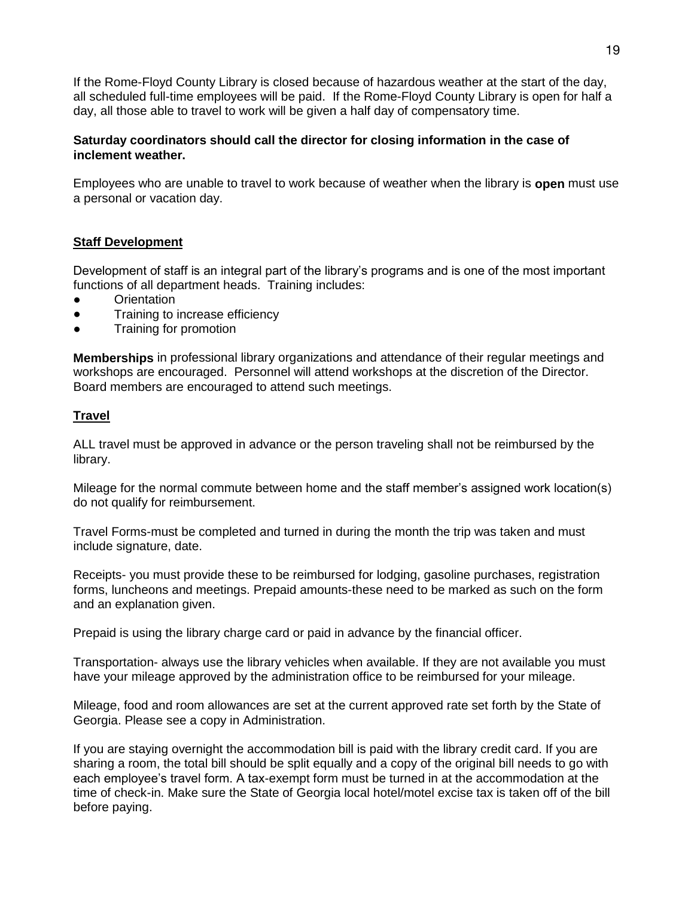If the Rome-Floyd County Library is closed because of hazardous weather at the start of the day, all scheduled full-time employees will be paid. If the Rome-Floyd County Library is open for half a day, all those able to travel to work will be given a half day of compensatory time.

# **Saturday coordinators should call the director for closing information in the case of inclement weather.**

Employees who are unable to travel to work because of weather when the library is **open** must use a personal or vacation day.

# **Staff Development**

Development of staff is an integral part of the library's programs and is one of the most important functions of all department heads. Training includes:

- **Orientation**
- Training to increase efficiency
- Training for promotion

**Memberships** in professional library organizations and attendance of their regular meetings and workshops are encouraged. Personnel will attend workshops at the discretion of the Director. Board members are encouraged to attend such meetings.

# **Travel**

ALL travel must be approved in advance or the person traveling shall not be reimbursed by the library.

Mileage for the normal commute between home and the staff member's assigned work location(s) do not qualify for reimbursement.

Travel Forms-must be completed and turned in during the month the trip was taken and must include signature, date.

Receipts- you must provide these to be reimbursed for lodging, gasoline purchases, registration forms, luncheons and meetings. Prepaid amounts-these need to be marked as such on the form and an explanation given.

Prepaid is using the library charge card or paid in advance by the financial officer.

Transportation- always use the library vehicles when available. If they are not available you must have your mileage approved by the administration office to be reimbursed for your mileage.

Mileage, food and room allowances are set at the current approved rate set forth by the State of Georgia. Please see a copy in Administration.

If you are staying overnight the accommodation bill is paid with the library credit card. If you are sharing a room, the total bill should be split equally and a copy of the original bill needs to go with each employee's travel form. A tax-exempt form must be turned in at the accommodation at the time of check-in. Make sure the State of Georgia local hotel/motel excise tax is taken off of the bill before paying.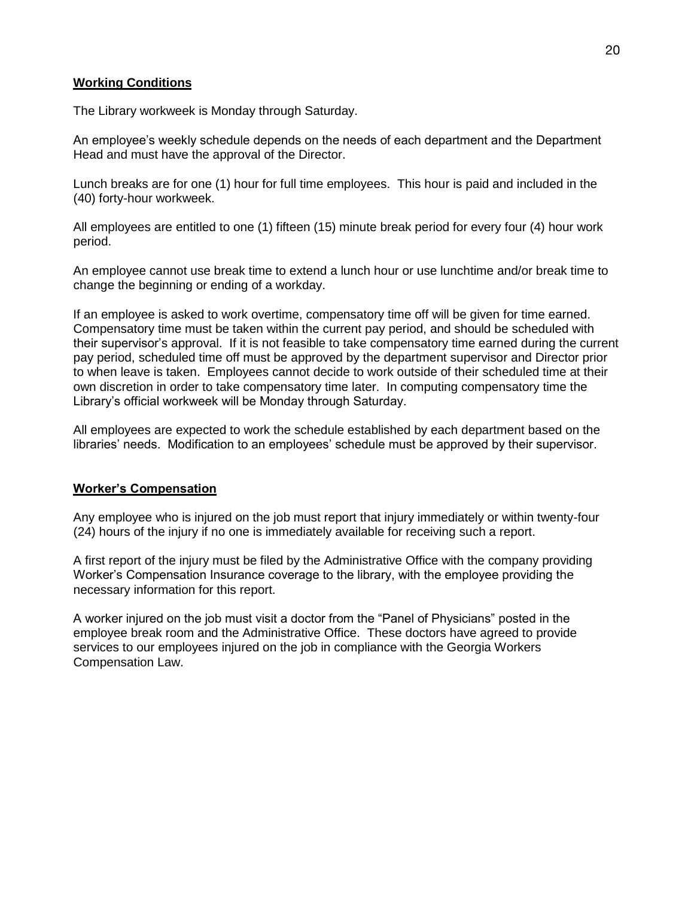# **Working Conditions**

The Library workweek is Monday through Saturday.

An employee's weekly schedule depends on the needs of each department and the Department Head and must have the approval of the Director.

Lunch breaks are for one (1) hour for full time employees. This hour is paid and included in the (40) forty-hour workweek.

All employees are entitled to one (1) fifteen (15) minute break period for every four (4) hour work period.

An employee cannot use break time to extend a lunch hour or use lunchtime and/or break time to change the beginning or ending of a workday.

If an employee is asked to work overtime, compensatory time off will be given for time earned. Compensatory time must be taken within the current pay period, and should be scheduled with their supervisor's approval. If it is not feasible to take compensatory time earned during the current pay period, scheduled time off must be approved by the department supervisor and Director prior to when leave is taken. Employees cannot decide to work outside of their scheduled time at their own discretion in order to take compensatory time later. In computing compensatory time the Library's official workweek will be Monday through Saturday.

All employees are expected to work the schedule established by each department based on the libraries' needs. Modification to an employees' schedule must be approved by their supervisor.

### **Worker's Compensation**

Any employee who is injured on the job must report that injury immediately or within twenty-four (24) hours of the injury if no one is immediately available for receiving such a report.

A first report of the injury must be filed by the Administrative Office with the company providing Worker's Compensation Insurance coverage to the library, with the employee providing the necessary information for this report.

A worker injured on the job must visit a doctor from the "Panel of Physicians" posted in the employee break room and the Administrative Office. These doctors have agreed to provide services to our employees injured on the job in compliance with the Georgia Workers Compensation Law.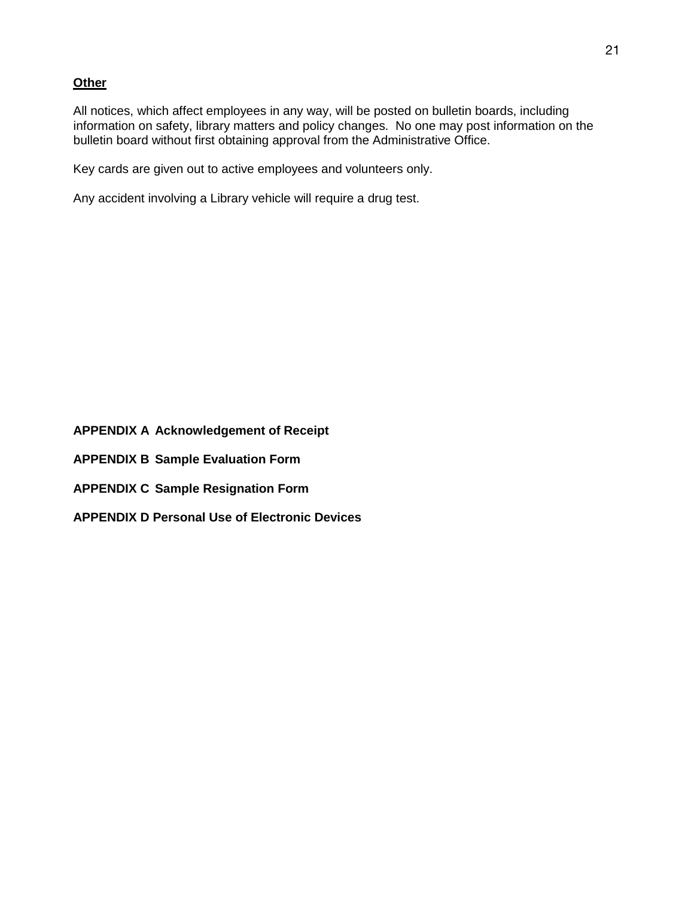### **Other**

All notices, which affect employees in any way, will be posted on bulletin boards, including information on safety, library matters and policy changes. No one may post information on the bulletin board without first obtaining approval from the Administrative Office.

Key cards are given out to active employees and volunteers only.

Any accident involving a Library vehicle will require a drug test.

**APPENDIX A Acknowledgement of Receipt**

**APPENDIX B Sample Evaluation Form**

- **APPENDIX C Sample Resignation Form**
- **APPENDIX D Personal Use of Electronic Devices**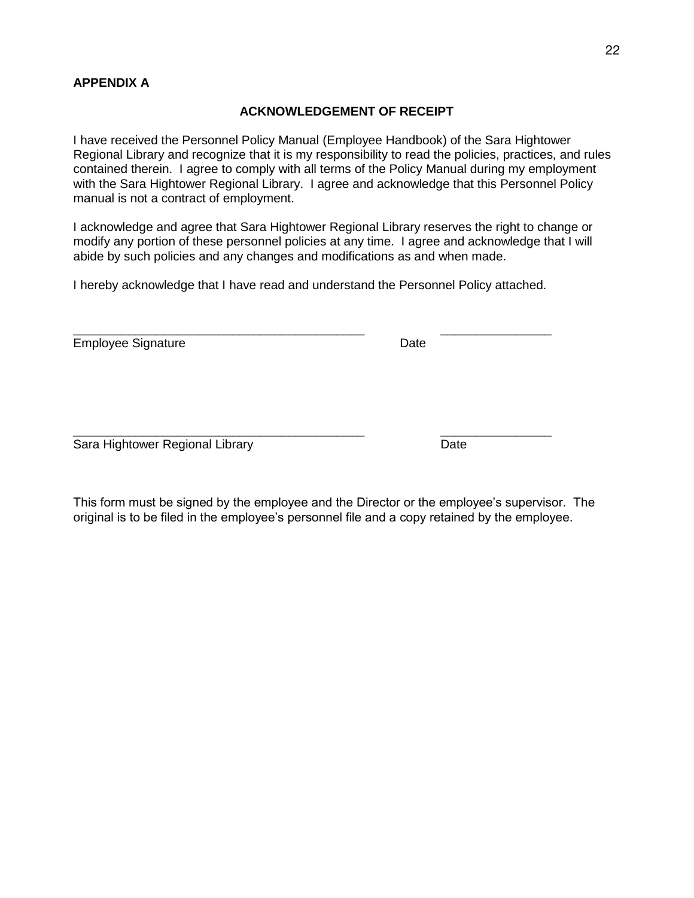# **APPENDIX A**

### **ACKNOWLEDGEMENT OF RECEIPT**

I have received the Personnel Policy Manual (Employee Handbook) of the Sara Hightower Regional Library and recognize that it is my responsibility to read the policies, practices, and rules contained therein. I agree to comply with all terms of the Policy Manual during my employment with the Sara Hightower Regional Library. I agree and acknowledge that this Personnel Policy manual is not a contract of employment.

I acknowledge and agree that Sara Hightower Regional Library reserves the right to change or modify any portion of these personnel policies at any time. I agree and acknowledge that I will abide by such policies and any changes and modifications as and when made.

I hereby acknowledge that I have read and understand the Personnel Policy attached.

\_\_\_\_\_\_\_\_\_\_\_\_\_\_\_\_\_\_\_\_\_\_\_\_\_\_\_\_\_\_\_\_\_\_\_\_\_\_\_\_\_\_ \_\_\_\_\_\_\_\_\_\_\_\_\_\_\_\_

\_\_\_\_\_\_\_\_\_\_\_\_\_\_\_\_\_\_\_\_\_\_\_\_\_\_\_\_\_\_\_\_\_\_\_\_\_\_\_\_\_\_ \_\_\_\_\_\_\_\_\_\_\_\_\_\_\_\_

Employee Signature **Date** Date

Sara Hightower Regional Library **Date** Date

This form must be signed by the employee and the Director or the employee's supervisor. The original is to be filed in the employee's personnel file and a copy retained by the employee.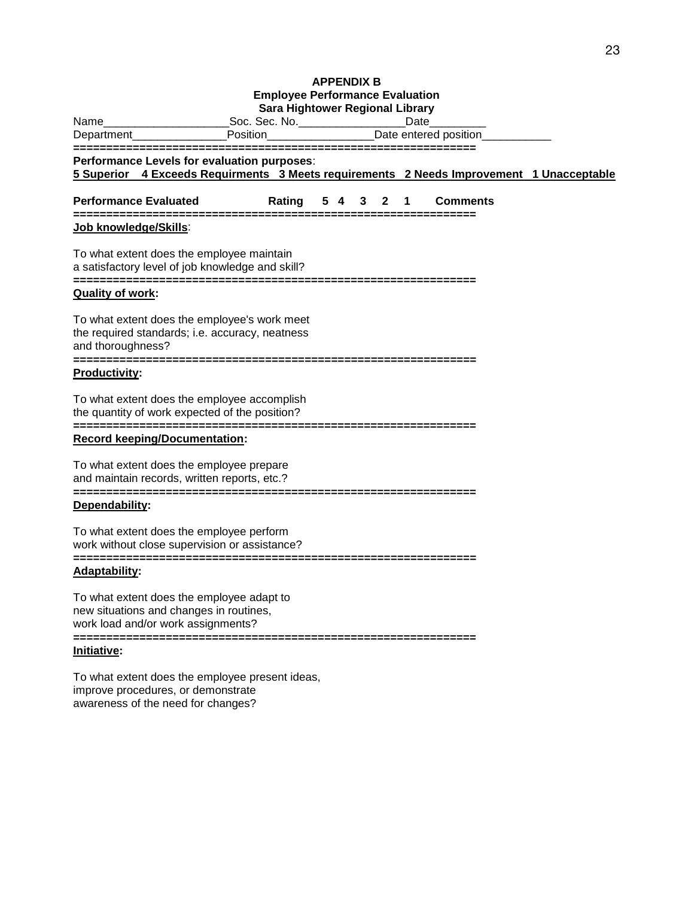#### **APPENDIX B Employee Performance Evaluation Sara Hightower Regional Library**

| Name                                                                                                                                                                       |          | Sara Hightower Regional Library<br>_Soc. Sec. No.___________________ |    |   |                        | Date |                                   |  |
|----------------------------------------------------------------------------------------------------------------------------------------------------------------------------|----------|----------------------------------------------------------------------|----|---|------------------------|------|-----------------------------------|--|
| Department___                                                                                                                                                              | Position |                                                                      |    |   | Date entered position_ |      |                                   |  |
| ===============================<br>Performance Levels for evaluation purposes:<br>5 Superior 4 Exceeds Requirments 3 Meets requirements 2 Needs Improvement 1 Unacceptable |          |                                                                      |    |   |                        |      | --------------------------------- |  |
| <b>Performance Evaluated</b><br>==============                                                                                                                             |          | Rating                                                               | 54 | 3 | 2                      | 1    | <b>Comments</b>                   |  |
| Job knowledge/Skills:                                                                                                                                                      |          |                                                                      |    |   |                        |      |                                   |  |
| To what extent does the employee maintain<br>a satisfactory level of job knowledge and skill?                                                                              |          |                                                                      |    |   |                        |      |                                   |  |
| <b>Quality of work:</b>                                                                                                                                                    |          |                                                                      |    |   |                        |      |                                   |  |
| To what extent does the employee's work meet<br>the required standards; i.e. accuracy, neatness<br>and thoroughness?<br>==============                                     |          |                                                                      |    |   |                        |      |                                   |  |
| <b>Productivity:</b>                                                                                                                                                       |          |                                                                      |    |   |                        |      |                                   |  |
| To what extent does the employee accomplish<br>the quantity of work expected of the position?                                                                              |          |                                                                      |    |   |                        |      |                                   |  |
| <b>Record keeping/Documentation:</b>                                                                                                                                       |          |                                                                      |    |   |                        |      |                                   |  |
| To what extent does the employee prepare<br>and maintain records, written reports, etc.?                                                                                   |          |                                                                      |    |   |                        |      |                                   |  |
| Dependability:                                                                                                                                                             |          |                                                                      |    |   |                        |      |                                   |  |
| To what extent does the employee perform<br>work without close supervision or assistance?<br>-----------                                                                   |          |                                                                      |    |   |                        |      |                                   |  |
| ==========<br><b>Adaptability:</b>                                                                                                                                         |          |                                                                      |    |   |                        |      |                                   |  |
| To what extent does the employee adapt to<br>new situations and changes in routines,<br>work load and/or work assignments?                                                 |          |                                                                      |    |   |                        |      |                                   |  |
| Initiative:                                                                                                                                                                |          |                                                                      |    |   |                        |      |                                   |  |
| To what extent does the employee present ideas,<br>improve procedures, or demonstrate                                                                                      |          |                                                                      |    |   |                        |      |                                   |  |

awareness of the need for changes?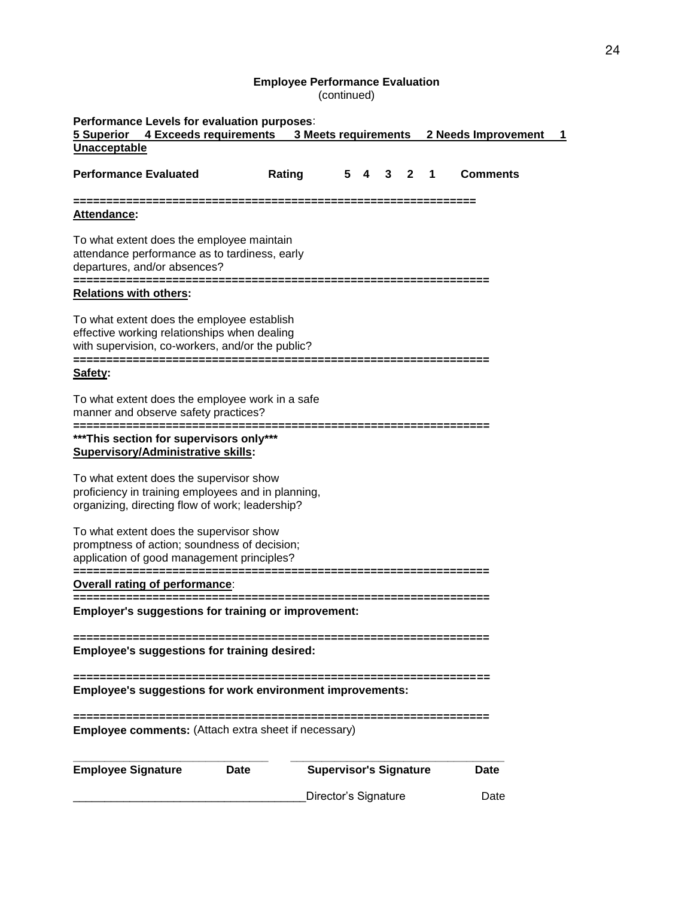#### **Employee Performance Evaluation** (continued)

| Performance Levels for evaluation purposes:<br>4 Exceeds requirements 3 Meets requirements<br>5 Superior<br>Unacceptable                         | 2 Needs Improvement |                               |                       |   |                 |  |
|--------------------------------------------------------------------------------------------------------------------------------------------------|---------------------|-------------------------------|-----------------------|---|-----------------|--|
| <b>Performance Evaluated</b>                                                                                                                     | Rating              | 5<br>4                        | 3<br>$\mathbf{2}$     | 1 | <b>Comments</b> |  |
| Attendance:                                                                                                                                      |                     |                               |                       |   |                 |  |
| To what extent does the employee maintain<br>attendance performance as to tardiness, early<br>departures, and/or absences?                       |                     |                               |                       |   |                 |  |
| <b>Relations with others:</b>                                                                                                                    |                     |                               |                       |   |                 |  |
| To what extent does the employee establish<br>effective working relationships when dealing<br>with supervision, co-workers, and/or the public?   |                     |                               |                       |   |                 |  |
| Safety:                                                                                                                                          |                     |                               |                       |   |                 |  |
| To what extent does the employee work in a safe<br>manner and observe safety practices?                                                          |                     |                               |                       |   |                 |  |
| *** This section for supervisors only***<br><b>Supervisory/Administrative skills:</b>                                                            |                     |                               |                       |   |                 |  |
| To what extent does the supervisor show<br>proficiency in training employees and in planning,<br>organizing, directing flow of work; leadership? |                     |                               |                       |   |                 |  |
| To what extent does the supervisor show<br>promptness of action; soundness of decision;<br>application of good management principles?            |                     |                               |                       |   |                 |  |
| <b>Overall rating of performance:</b>                                                                                                            |                     |                               |                       |   |                 |  |
| <b>Employer's suggestions for training or improvement:</b>                                                                                       |                     |                               | --------------------- |   |                 |  |
| <b>Employee's suggestions for training desired:</b>                                                                                              |                     |                               |                       |   |                 |  |
| Employee's suggestions for work environment improvements:                                                                                        |                     |                               |                       |   |                 |  |
| <b>Employee comments:</b> (Attach extra sheet if necessary)                                                                                      |                     |                               |                       |   |                 |  |
| <b>Employee Signature</b>                                                                                                                        | Date                | <b>Supervisor's Signature</b> |                       |   | Date            |  |
|                                                                                                                                                  |                     | Director's Signature          |                       |   | Date            |  |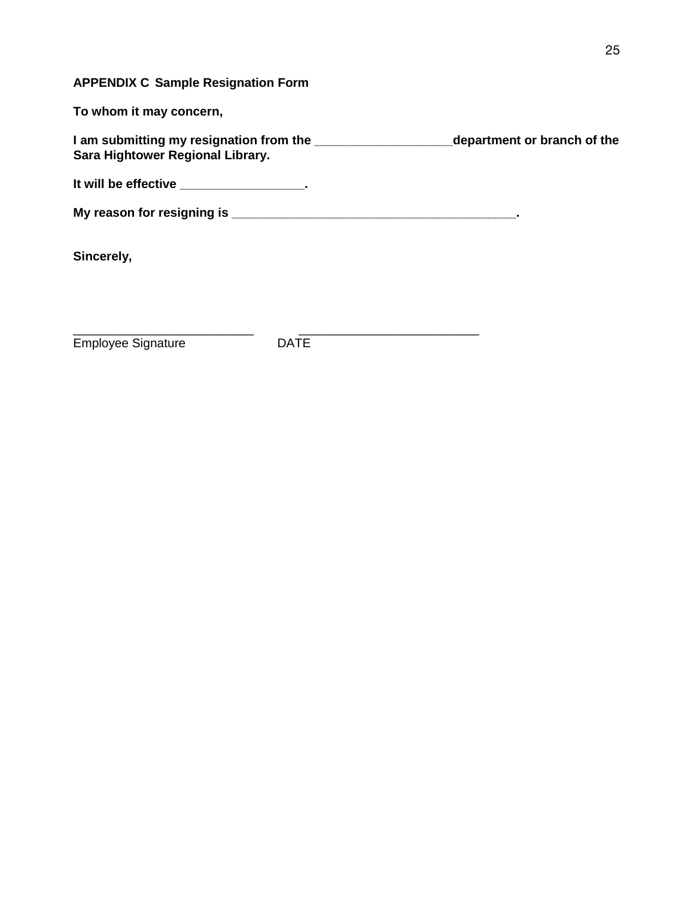# **APPENDIX C Sample Resignation Form**

**To whom it may concern,**

**I am submitting my resignation from the \_\_\_\_\_\_\_\_\_\_\_\_\_\_\_\_\_\_\_\_department or branch of the Sara Hightower Regional Library.** 

**It will be effective \_\_\_\_\_\_\_\_\_\_\_\_\_\_\_\_\_\_.** 

**My reason for resigning is \_\_\_\_\_\_\_\_\_\_\_\_\_\_\_\_\_\_\_\_\_\_\_\_\_\_\_\_\_\_\_\_\_\_\_\_\_\_\_\_\_.**

**Sincerely,**

Employee Signature **DATE** 

\_\_\_\_\_\_\_\_\_\_\_\_\_\_\_\_\_\_\_\_\_\_\_\_\_\_ \_\_\_\_\_\_\_\_\_\_\_\_\_\_\_\_\_\_\_\_\_\_\_\_\_\_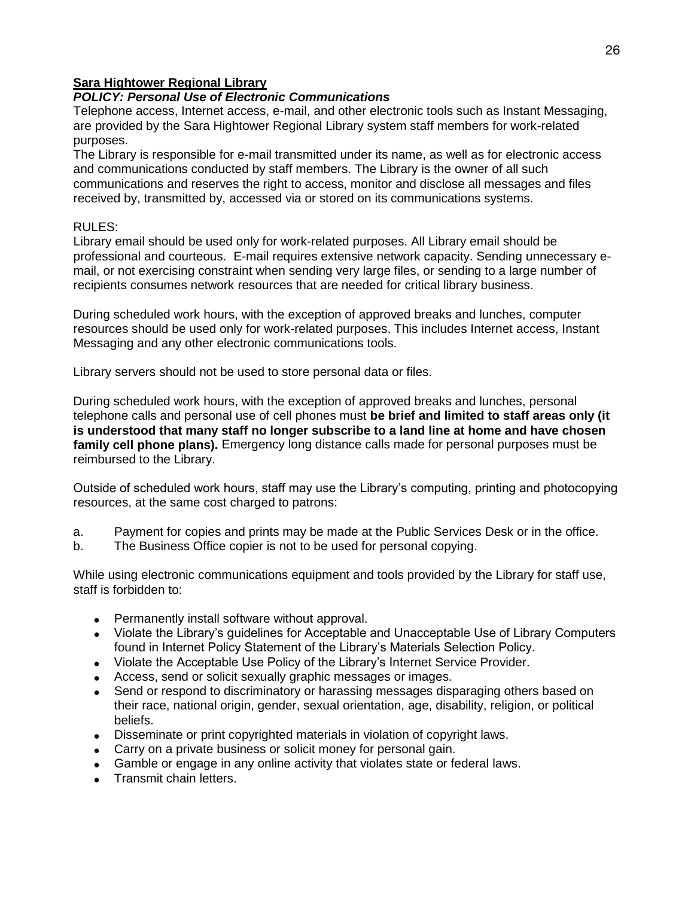# **Sara Hightower Regional Library**

# *POLICY: Personal Use of Electronic Communications*

Telephone access, Internet access, e-mail, and other electronic tools such as Instant Messaging, are provided by the Sara Hightower Regional Library system staff members for work-related purposes.

The Library is responsible for e-mail transmitted under its name, as well as for electronic access and communications conducted by staff members. The Library is the owner of all such communications and reserves the right to access, monitor and disclose all messages and files received by, transmitted by, accessed via or stored on its communications systems.

# RULES:

Library email should be used only for work-related purposes. All Library email should be professional and courteous. E-mail requires extensive network capacity. Sending unnecessary email, or not exercising constraint when sending very large files, or sending to a large number of recipients consumes network resources that are needed for critical library business.

During scheduled work hours, with the exception of approved breaks and lunches, computer resources should be used only for work-related purposes. This includes Internet access, Instant Messaging and any other electronic communications tools.

Library servers should not be used to store personal data or files.

During scheduled work hours, with the exception of approved breaks and lunches, personal telephone calls and personal use of cell phones must **be brief and limited to staff areas only (it is understood that many staff no longer subscribe to a land line at home and have chosen family cell phone plans).** Emergency long distance calls made for personal purposes must be reimbursed to the Library.

Outside of scheduled work hours, staff may use the Library's computing, printing and photocopying resources, at the same cost charged to patrons:

- a. Payment for copies and prints may be made at the Public Services Desk or in the office.
- b. The Business Office copier is not to be used for personal copying.

While using electronic communications equipment and tools provided by the Library for staff use, staff is forbidden to:

- Permanently install software without approval.
- Violate the Library's guidelines for Acceptable and Unacceptable Use of Library Computers found in Internet Policy Statement of the Library's Materials Selection Policy.
- Violate the Acceptable Use Policy of the Library's Internet Service Provider.
- Access, send or solicit sexually graphic messages or images.
- Send or respond to discriminatory or harassing messages disparaging others based on their race, national origin, gender, sexual orientation, age, disability, religion, or political beliefs.
- Disseminate or print copyrighted materials in violation of copyright laws.
- Carry on a private business or solicit money for personal gain.
- Gamble or engage in any online activity that violates state or federal laws.
- Transmit chain letters.